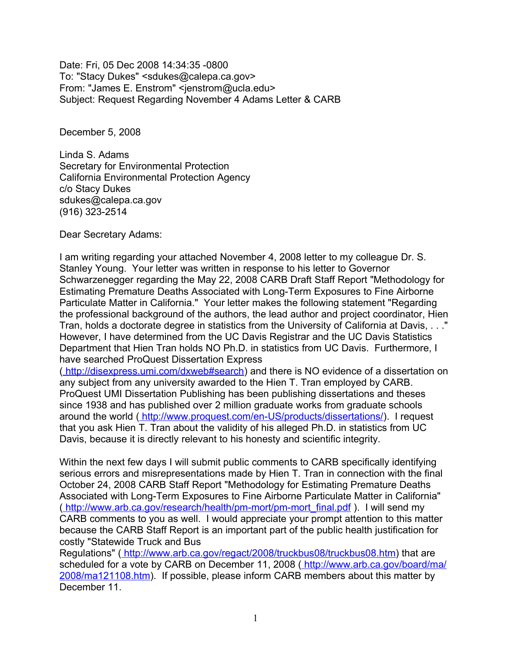Date: Fri, 05 Dec 2008 14:34:35 -0800 To: "Stacy Dukes" <sdukes@calepa.ca.gov> From: "James E. Enstrom" <jenstrom@ucla.edu> Subject: Request Regarding November 4 Adams Letter & CARB

December 5, 2008

Linda S. Adams Secretary for Environmental Protection California Environmental Protection Agency c/o Stacy Dukes sdukes@calepa.ca.gov (916) 323-2514

Dear Secretary Adams:

I am writing regarding your attached November 4, 2008 letter to my colleague Dr. S. Stanley Young. Your letter was written in response to his letter to Governor Schwarzenegger regarding the May 22, 2008 CARB Draft Staff Report "Methodology for Estimating Premature Deaths Associated with Long-Term Exposures to Fine Airborne Particulate Matter in California." Your letter makes the following statement "Regarding the professional background of the authors, the lead author and project coordinator, Hien Tran, holds a doctorate degree in statistics from the University of California at Davis, . . ." However, I have determined from the UC Davis Registrar and the UC Davis Statistics Department that Hien Tran holds NO Ph.D. in statistics from UC Davis. Furthermore, I have searched ProQuest Dissertation Express

[\( http://disexpress.umi.com/dxweb#search\)](http://disexpress.umi.com/dxweb#search) and there is NO evidence of a dissertation on any subject from any university awarded to the Hien T. Tran employed by CARB. ProQuest UMI Dissertation Publishing has been publishing dissertations and theses since 1938 and has published over 2 million graduate works from graduate schools around the world (http://www.proquest.com/en-US/products/dissertations/). I request that you ask Hien T. Tran about the validity of his alleged Ph.D. in statistics from UC Davis, because it is directly relevant to his honesty and scientific integrity.

Within the next few days I will submit public comments to CARB specifically identifying serious errors and misrepresentations made by Hien T. Tran in connection with the final October 24, 2008 CARB Staff Report "Methodology for Estimating Premature Deaths Associated with Long-Term Exposures to Fine Airborne Particulate Matter in California" [\( http://www.arb.ca.gov/research/health/pm-mort/pm-mort\\_final.pdf](http://www.arb.ca.gov/research/health/pm-mort/pm-mort_final.pdf) ). I will send my CARB comments to you as well. I would appreciate your prompt attention to this matter because the CARB Staff Report is an important part of the public health justification for costly "Statewide Truck and Bus

Regulations" (http://www.arb.ca.gov/regact/2008/truckbus08/truckbus08.htm) that are scheduled for a vote by CARB on December 11, 2008 (http://www.arb.ca.gov/board/ma/ [2008/ma121108.htm\)](http://www.arb.ca.gov/board/ma/2008/ma121108.htm). If possible, please inform CARB members about this matter by December 11.